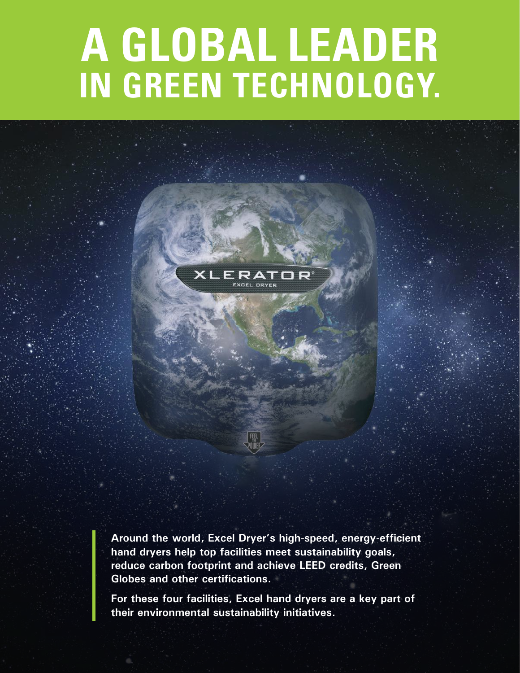# **A GLOBAL LEADER IN GREEN TECHNOLOGY.**



**Around the world, Excel Dryer's high-speed, energy-efficient hand dryers help top facilities meet sustainability goals, reduce carbon footprint and achieve LEED credits, Green Globes and other certifications.**

**For these four facilities, Excel hand dryers are a key part of their environmental sustainability initiatives.**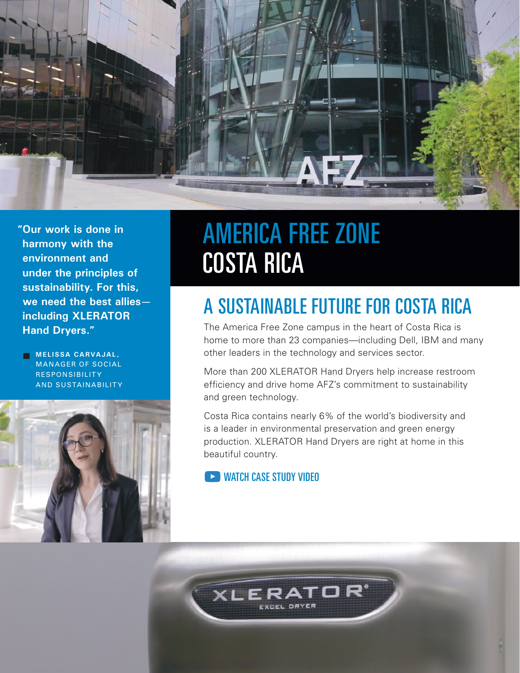

**"Our work is done in harmony with the environment and under the principles of sustainability. For this, we need the best allies including XLERATOR Hand Dryers."**

**MELISSA CARVAJAL,** MANAGER OF SOCIAL **RESPONSIBILITY** AND SUSTAINABILITY



## AMERICA FREE ZONE COSTA RICA

### A SUSTAINABLE FUTURE FOR COSTA RICA

The America Free Zone campus in the heart of Costa Rica is home to more than 23 companies—including Dell, IBM and many other leaders in the technology and services sector.

More than 200 XLERATOR Hand Dryers help increase restroom efficiency and drive home AFZ's commitment to sustainability and green technology.

Costa Rica contains nearly 6% of the world's biodiversity and is a leader in environmental preservation and green energy production. XLERATOR Hand Dryers are right at home in this beautiful country.

**EXAMPLE CASE STUDY VIDEO** 

 $\widehat{\mathsf{xL}}$ ERATOR' **EXCEL DRYER**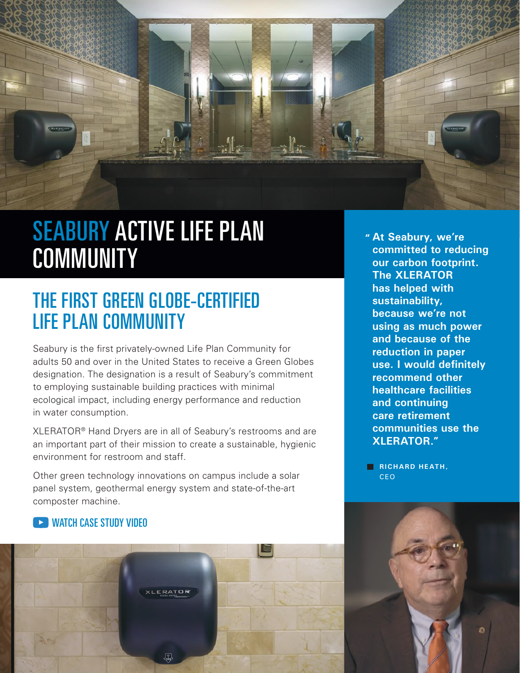

### SEABURY ACTIVE LIFE PLAN COMMUNITY **"**

#### THE FIRST GREEN GLOBE-CERTIFIED LIFE PLAN COMMUNITY

Seabury is the first privately-owned Life Plan Community for adults 50 and over in the United States to receive a Green Globes designation. The designation is a result of Seabury's commitment to employing sustainable building practices with minimal ecological impact, including energy performance and reduction in water consumption.

XLERATOR® Hand Dryers are in all of Seabury's restrooms and are an important part of their mission to create a sustainable, hygienic environment for restroom and staff.

Other green technology innovations on campus include a solar panel system, geothermal energy system and state-of-the-art composter machine.

#### [WATCH CASE STUDY VIDEO](https://www.youtube.com/watch?v=q3oxTbmhgN8&feature=emb_logo)



**At Seabury, we're committed to reducing our carbon footprint. The XLERATOR has helped with sustainability, because we're not using as much power and because of the reduction in paper use. I would definitely recommend other healthcare facilities and continuing care retirement communities use the XLERATOR."**

**RICHARD HEATH,**  CEO

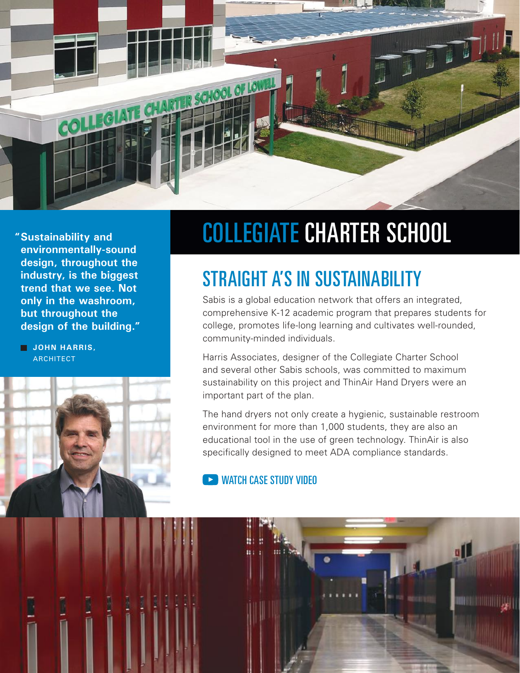

**Sustainability and "environmentally-sound design, throughout the industry, is the biggest trend that we see. Not only in the washroom, but throughout the design of the building."**

**JOHN HARRIS, ARCHITECT** 

# COLLEGIATE CHARTER SCHOOL

### STRAIGHT A'S IN SUSTAINABILITY

Sabis is a global education network that offers an integrated, comprehensive K-12 academic program that prepares students for college, promotes life-long learning and cultivates well-rounded, community-minded individuals.

Harris Associates, designer of the Collegiate Charter School and several other Sabis schools, was committed to maximum sustainability on this project and ThinAir Hand Dryers were an important part of the plan.

The hand dryers not only create a hygienic, sustainable restroom environment for more than 1,000 students, they are also an educational tool in the use of green technology. ThinAir is also specifically designed to meet ADA compliance standards.

**MORTHULUS** 

#### **EXAMPLE AS INCORPORATION CONTROL**